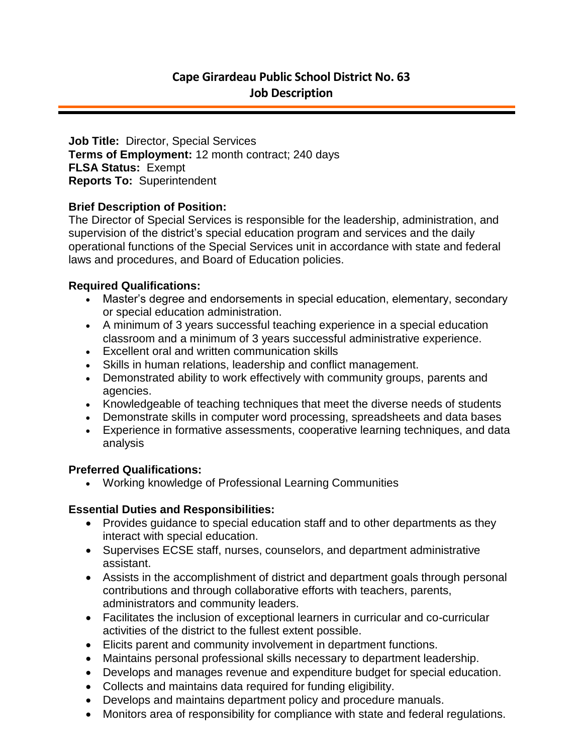**Job Title:** Director, Special Services **Terms of Employment:** 12 month contract; 240 days **FLSA Status:** Exempt **Reports To:** Superintendent

## **Brief Description of Position:**

The Director of Special Services is responsible for the leadership, administration, and supervision of the district's special education program and services and the daily operational functions of the Special Services unit in accordance with state and federal laws and procedures, and Board of Education policies.

## **Required Qualifications:**

- Master's degree and endorsements in special education, elementary, secondary or special education administration.
- A minimum of 3 years successful teaching experience in a special education classroom and a minimum of 3 years successful administrative experience.
- Excellent oral and written communication skills
- Skills in human relations, leadership and conflict management.
- Demonstrated ability to work effectively with community groups, parents and agencies.
- Knowledgeable of teaching techniques that meet the diverse needs of students
- Demonstrate skills in computer word processing, spreadsheets and data bases
- Experience in formative assessments, cooperative learning techniques, and data analysis

# **Preferred Qualifications:**

Working knowledge of Professional Learning Communities

# **Essential Duties and Responsibilities:**

- Provides guidance to special education staff and to other departments as they interact with special education.
- Supervises ECSE staff, nurses, counselors, and department administrative assistant.
- Assists in the accomplishment of district and department goals through personal contributions and through collaborative efforts with teachers, parents, administrators and community leaders.
- Facilitates the inclusion of exceptional learners in curricular and co-curricular activities of the district to the fullest extent possible.
- Elicits parent and community involvement in department functions.
- Maintains personal professional skills necessary to department leadership.
- Develops and manages revenue and expenditure budget for special education.
- Collects and maintains data required for funding eligibility.
- Develops and maintains department policy and procedure manuals.
- Monitors area of responsibility for compliance with state and federal regulations.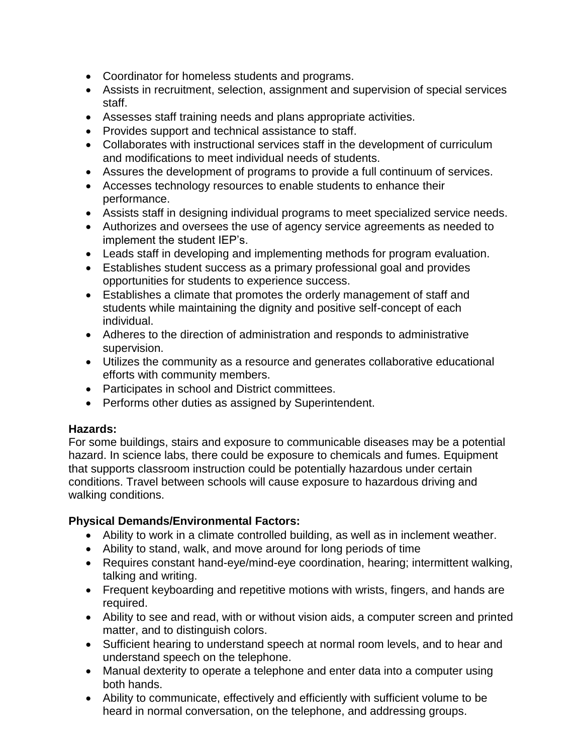- Coordinator for homeless students and programs.
- Assists in recruitment, selection, assignment and supervision of special services staff.
- Assesses staff training needs and plans appropriate activities.
- Provides support and technical assistance to staff.
- Collaborates with instructional services staff in the development of curriculum and modifications to meet individual needs of students.
- Assures the development of programs to provide a full continuum of services.
- Accesses technology resources to enable students to enhance their performance.
- Assists staff in designing individual programs to meet specialized service needs.
- Authorizes and oversees the use of agency service agreements as needed to implement the student IEP's.
- Leads staff in developing and implementing methods for program evaluation.
- Establishes student success as a primary professional goal and provides opportunities for students to experience success.
- Establishes a climate that promotes the orderly management of staff and students while maintaining the dignity and positive self-concept of each individual.
- Adheres to the direction of administration and responds to administrative supervision.
- Utilizes the community as a resource and generates collaborative educational efforts with community members.
- Participates in school and District committees.
- Performs other duties as assigned by Superintendent.

## **Hazards:**

For some buildings, stairs and exposure to communicable diseases may be a potential hazard. In science labs, there could be exposure to chemicals and fumes. Equipment that supports classroom instruction could be potentially hazardous under certain conditions. Travel between schools will cause exposure to hazardous driving and walking conditions.

## **Physical Demands/Environmental Factors:**

- Ability to work in a climate controlled building, as well as in inclement weather.
- Ability to stand, walk, and move around for long periods of time
- Requires constant hand-eye/mind-eye coordination, hearing; intermittent walking, talking and writing.
- Frequent keyboarding and repetitive motions with wrists, fingers, and hands are required.
- Ability to see and read, with or without vision aids, a computer screen and printed matter, and to distinguish colors.
- Sufficient hearing to understand speech at normal room levels, and to hear and understand speech on the telephone.
- Manual dexterity to operate a telephone and enter data into a computer using both hands.
- Ability to communicate, effectively and efficiently with sufficient volume to be heard in normal conversation, on the telephone, and addressing groups.